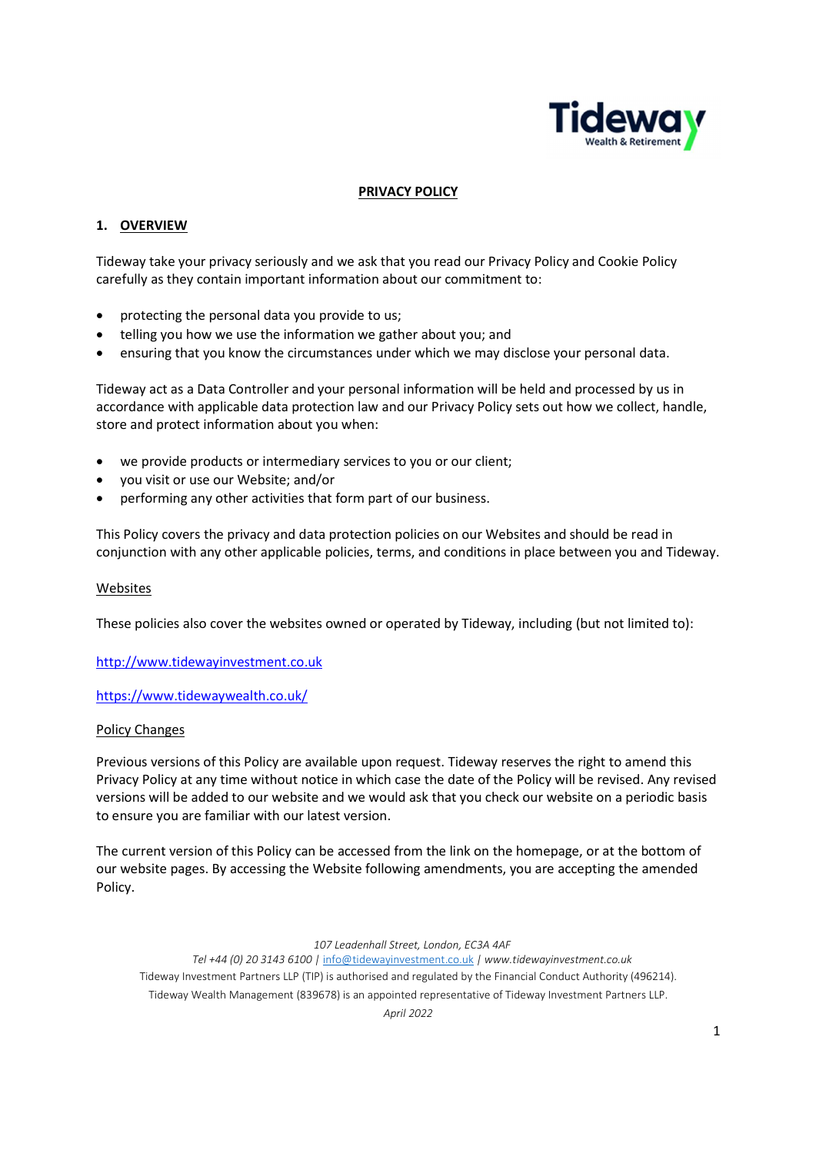

## PRIVACY POLICY

## 1. OVERVIEW

Tideway take your privacy seriously and we ask that you read our Privacy Policy and Cookie Policy carefully as they contain important information about our commitment to:

- protecting the personal data you provide to us;
- telling you how we use the information we gather about you; and
- ensuring that you know the circumstances under which we may disclose your personal data.

Tideway act as a Data Controller and your personal information will be held and processed by us in accordance with applicable data protection law and our Privacy Policy sets out how we collect, handle, store and protect information about you when:

- we provide products or intermediary services to you or our client;
- you visit or use our Website; and/or
- performing any other activities that form part of our business.

This Policy covers the privacy and data protection policies on our Websites and should be read in conjunction with any other applicable policies, terms, and conditions in place between you and Tideway.

#### Websites

These policies also cover the websites owned or operated by Tideway, including (but not limited to):

http://www.tidewayinvestment.co.uk

https://www.tidewaywealth.co.uk/

#### Policy Changes

Previous versions of this Policy are available upon request. Tideway reserves the right to amend this Privacy Policy at any time without notice in which case the date of the Policy will be revised. Any revised versions will be added to our website and we would ask that you check our website on a periodic basis to ensure you are familiar with our latest version.

The current version of this Policy can be accessed from the link on the homepage, or at the bottom of our website pages. By accessing the Website following amendments, you are accepting the amended Policy.

107 Leadenhall Street, London, EC3A 4AF

Tel +44 (0) 20 3143 6100 | info@tidewayinvestment.co.uk | www.tidewayinvestment.co.uk Tideway Investment Partners LLP (TIP) is authorised and regulated by the Financial Conduct Authority (496214). Tideway Wealth Management (839678) is an appointed representative of Tideway Investment Partners LLP.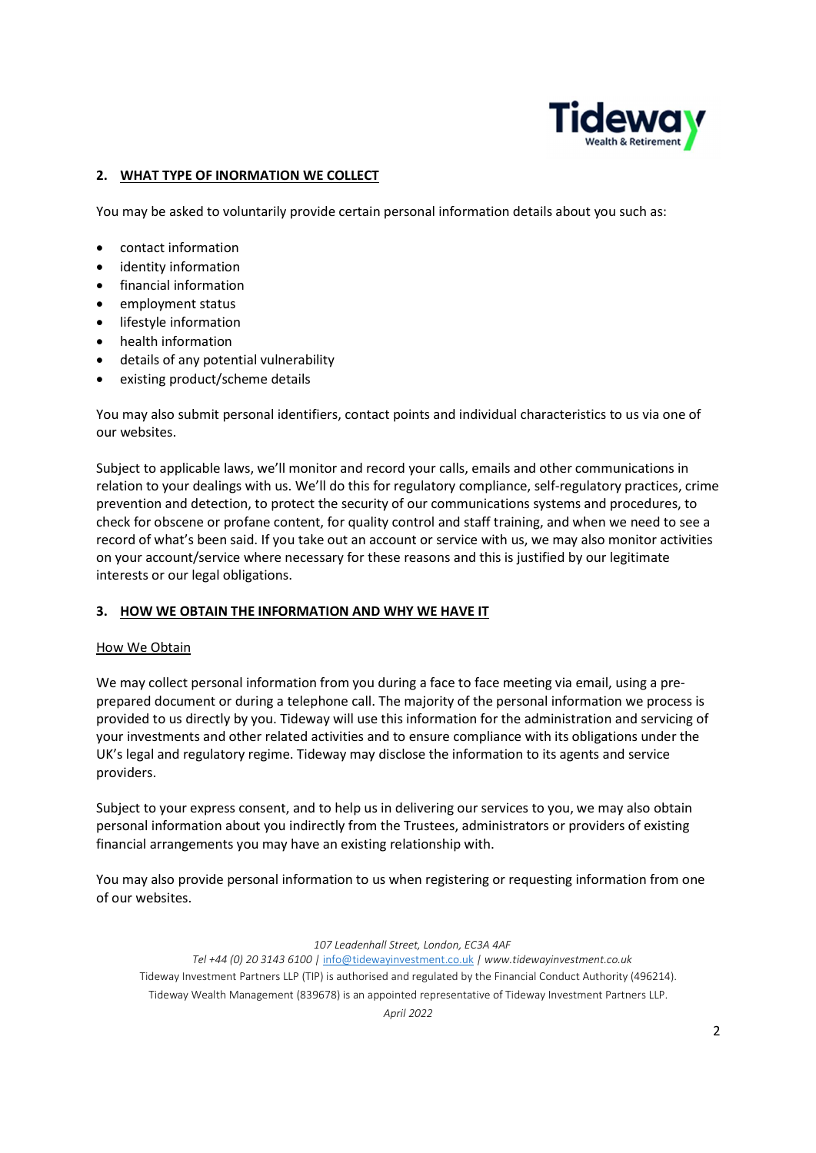

# 2. WHAT TYPE OF INORMATION WE COLLECT

You may be asked to voluntarily provide certain personal information details about you such as:

- contact information
- identity information
- financial information
- employment status
- lifestyle information
- health information
- details of any potential vulnerability
- existing product/scheme details

You may also submit personal identifiers, contact points and individual characteristics to us via one of our websites.

Subject to applicable laws, we'll monitor and record your calls, emails and other communications in relation to your dealings with us. We'll do this for regulatory compliance, self-regulatory practices, crime prevention and detection, to protect the security of our communications systems and procedures, to check for obscene or profane content, for quality control and staff training, and when we need to see a record of what's been said. If you take out an account or service with us, we may also monitor activities on your account/service where necessary for these reasons and this is justified by our legitimate interests or our legal obligations.

## 3. HOW WE OBTAIN THE INFORMATION AND WHY WE HAVE IT

## How We Obtain

We may collect personal information from you during a face to face meeting via email, using a preprepared document or during a telephone call. The majority of the personal information we process is provided to us directly by you. Tideway will use this information for the administration and servicing of your investments and other related activities and to ensure compliance with its obligations under the UK's legal and regulatory regime. Tideway may disclose the information to its agents and service providers.

Subject to your express consent, and to help us in delivering our services to you, we may also obtain personal information about you indirectly from the Trustees, administrators or providers of existing financial arrangements you may have an existing relationship with.

You may also provide personal information to us when registering or requesting information from one of our websites.

107 Leadenhall Street, London, EC3A 4AF

Tel +44 (0) 20 3143 6100 | info@tidewayinvestment.co.uk | www.tidewayinvestment.co.uk Tideway Investment Partners LLP (TIP) is authorised and regulated by the Financial Conduct Authority (496214). Tideway Wealth Management (839678) is an appointed representative of Tideway Investment Partners LLP.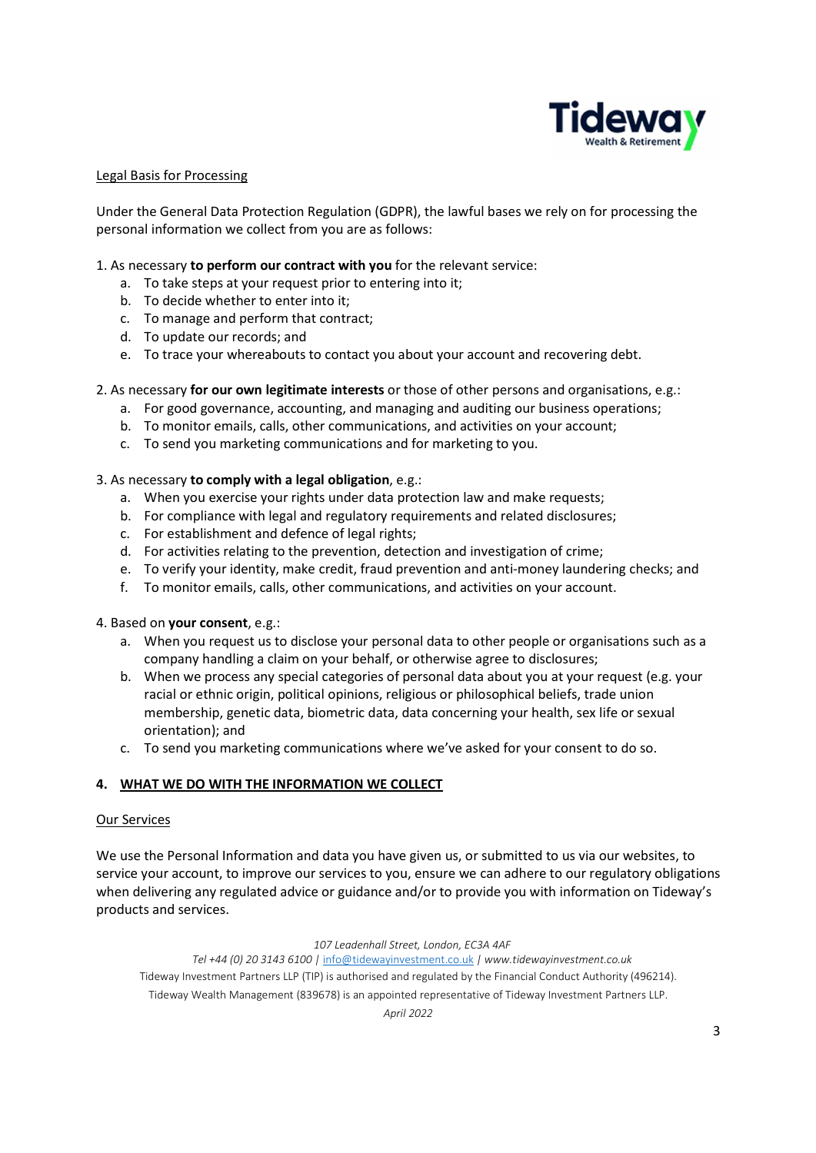

## Legal Basis for Processing

Under the General Data Protection Regulation (GDPR), the lawful bases we rely on for processing the personal information we collect from you are as follows:

## 1. As necessary to perform our contract with you for the relevant service:

- a. To take steps at your request prior to entering into it;
- b. To decide whether to enter into it;
- c. To manage and perform that contract;
- d. To update our records; and
- e. To trace your whereabouts to contact you about your account and recovering debt.

## 2. As necessary for our own legitimate interests or those of other persons and organisations, e.g.:

- a. For good governance, accounting, and managing and auditing our business operations;
- b. To monitor emails, calls, other communications, and activities on your account;
- c. To send you marketing communications and for marketing to you.

#### 3. As necessary to comply with a legal obligation, e.g.:

- a. When you exercise your rights under data protection law and make requests;
- b. For compliance with legal and regulatory requirements and related disclosures;
- c. For establishment and defence of legal rights;
- d. For activities relating to the prevention, detection and investigation of crime;
- e. To verify your identity, make credit, fraud prevention and anti-money laundering checks; and
- f. To monitor emails, calls, other communications, and activities on your account.

#### 4. Based on your consent, e.g.:

- a. When you request us to disclose your personal data to other people or organisations such as a company handling a claim on your behalf, or otherwise agree to disclosures;
- b. When we process any special categories of personal data about you at your request (e.g. your racial or ethnic origin, political opinions, religious or philosophical beliefs, trade union membership, genetic data, biometric data, data concerning your health, sex life or sexual orientation); and
- c. To send you marketing communications where we've asked for your consent to do so.

#### 4. WHAT WE DO WITH THE INFORMATION WE COLLECT

#### Our Services

We use the Personal Information and data you have given us, or submitted to us via our websites, to service your account, to improve our services to you, ensure we can adhere to our regulatory obligations when delivering any regulated advice or guidance and/or to provide you with information on Tideway's products and services.

#### 107 Leadenhall Street, London, EC3A 4AF

Tel +44 (0) 20 3143 6100 | info@tidewayinvestment.co.uk | www.tidewayinvestment.co.uk Tideway Investment Partners LLP (TIP) is authorised and regulated by the Financial Conduct Authority (496214). Tideway Wealth Management (839678) is an appointed representative of Tideway Investment Partners LLP.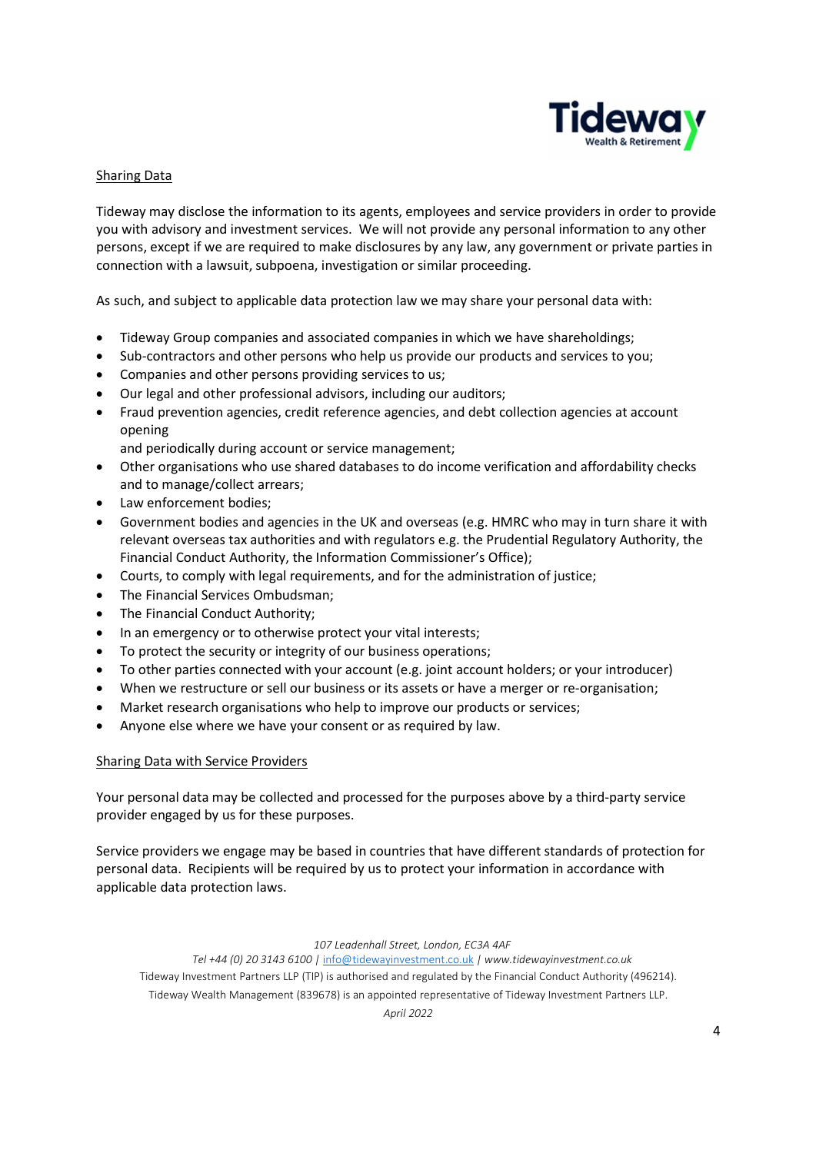

## Sharing Data

Tideway may disclose the information to its agents, employees and service providers in order to provide you with advisory and investment services. We will not provide any personal information to any other persons, except if we are required to make disclosures by any law, any government or private parties in connection with a lawsuit, subpoena, investigation or similar proceeding.

As such, and subject to applicable data protection law we may share your personal data with:

- Tideway Group companies and associated companies in which we have shareholdings;
- Sub-contractors and other persons who help us provide our products and services to you;
- Companies and other persons providing services to us;
- Our legal and other professional advisors, including our auditors;
- Fraud prevention agencies, credit reference agencies, and debt collection agencies at account opening

and periodically during account or service management;

- Other organisations who use shared databases to do income verification and affordability checks and to manage/collect arrears;
- Law enforcement bodies:
- Government bodies and agencies in the UK and overseas (e.g. HMRC who may in turn share it with relevant overseas tax authorities and with regulators e.g. the Prudential Regulatory Authority, the Financial Conduct Authority, the Information Commissioner's Office);
- Courts, to comply with legal requirements, and for the administration of justice;
- The Financial Services Ombudsman;
- The Financial Conduct Authority;
- In an emergency or to otherwise protect your vital interests;
- To protect the security or integrity of our business operations;
- To other parties connected with your account (e.g. joint account holders; or your introducer)
- When we restructure or sell our business or its assets or have a merger or re-organisation;
- Market research organisations who help to improve our products or services;
- Anyone else where we have your consent or as required by law.

#### Sharing Data with Service Providers

Your personal data may be collected and processed for the purposes above by a third-party service provider engaged by us for these purposes.

Service providers we engage may be based in countries that have different standards of protection for personal data. Recipients will be required by us to protect your information in accordance with applicable data protection laws.

#### 107 Leadenhall Street, London, EC3A 4AF

Tel +44 (0) 20 3143 6100 | info@tidewayinvestment.co.uk | www.tidewayinvestment.co.uk Tideway Investment Partners LLP (TIP) is authorised and regulated by the Financial Conduct Authority (496214).

Tideway Wealth Management (839678) is an appointed representative of Tideway Investment Partners LLP.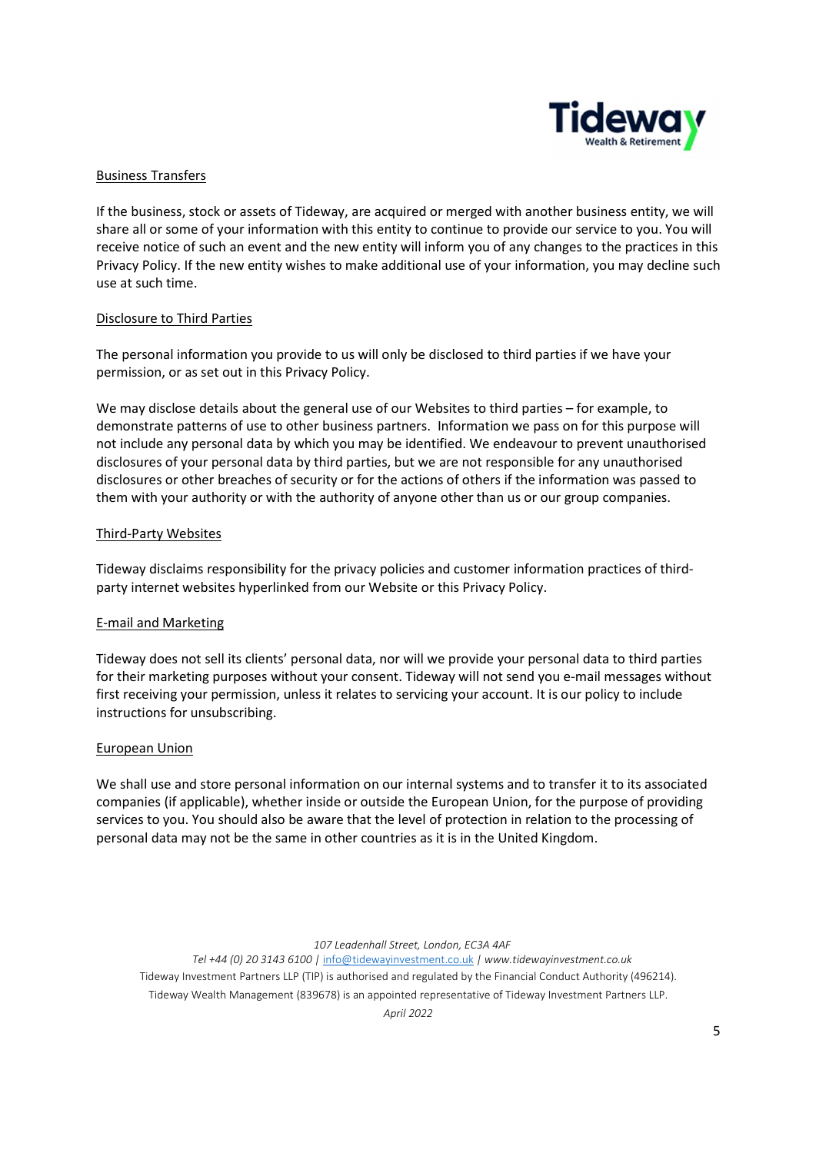

# Business Transfers

If the business, stock or assets of Tideway, are acquired or merged with another business entity, we will share all or some of your information with this entity to continue to provide our service to you. You will receive notice of such an event and the new entity will inform you of any changes to the practices in this Privacy Policy. If the new entity wishes to make additional use of your information, you may decline such use at such time.

## Disclosure to Third Parties

The personal information you provide to us will only be disclosed to third parties if we have your permission, or as set out in this Privacy Policy.

We may disclose details about the general use of our Websites to third parties – for example, to demonstrate patterns of use to other business partners. Information we pass on for this purpose will not include any personal data by which you may be identified. We endeavour to prevent unauthorised disclosures of your personal data by third parties, but we are not responsible for any unauthorised disclosures or other breaches of security or for the actions of others if the information was passed to them with your authority or with the authority of anyone other than us or our group companies.

## Third-Party Websites

Tideway disclaims responsibility for the privacy policies and customer information practices of thirdparty internet websites hyperlinked from our Website or this Privacy Policy.

## E-mail and Marketing

Tideway does not sell its clients' personal data, nor will we provide your personal data to third parties for their marketing purposes without your consent. Tideway will not send you e-mail messages without first receiving your permission, unless it relates to servicing your account. It is our policy to include instructions for unsubscribing.

#### European Union

We shall use and store personal information on our internal systems and to transfer it to its associated companies (if applicable), whether inside or outside the European Union, for the purpose of providing services to you. You should also be aware that the level of protection in relation to the processing of personal data may not be the same in other countries as it is in the United Kingdom.

107 Leadenhall Street, London, EC3A 4AF

Tel +44 (0) 20 3143 6100 | info@tidewayinvestment.co.uk | www.tidewayinvestment.co.uk Tideway Investment Partners LLP (TIP) is authorised and regulated by the Financial Conduct Authority (496214). Tideway Wealth Management (839678) is an appointed representative of Tideway Investment Partners LLP.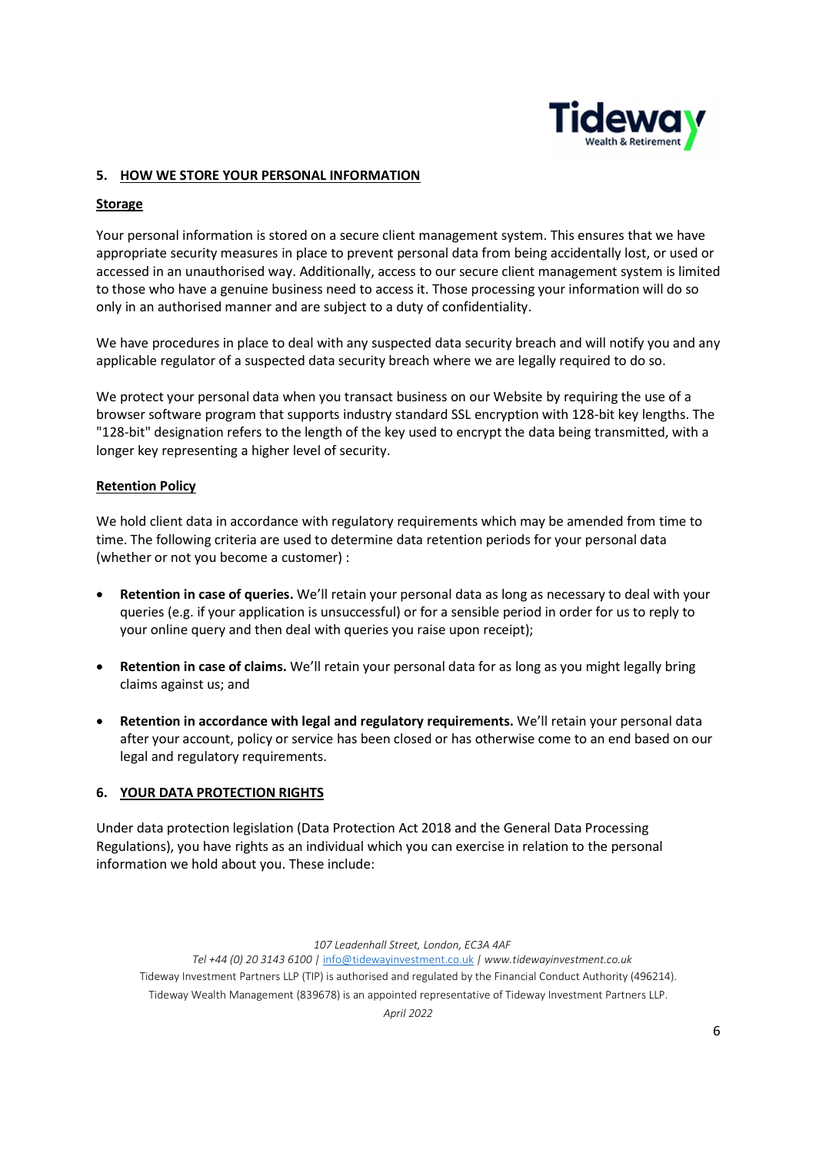

## 5. HOW WE STORE YOUR PERSONAL INFORMATION

## Storage

Your personal information is stored on a secure client management system. This ensures that we have appropriate security measures in place to prevent personal data from being accidentally lost, or used or accessed in an unauthorised way. Additionally, access to our secure client management system is limited to those who have a genuine business need to access it. Those processing your information will do so only in an authorised manner and are subject to a duty of confidentiality.

We have procedures in place to deal with any suspected data security breach and will notify you and any applicable regulator of a suspected data security breach where we are legally required to do so.

We protect your personal data when you transact business on our Website by requiring the use of a browser software program that supports industry standard SSL encryption with 128-bit key lengths. The "128-bit" designation refers to the length of the key used to encrypt the data being transmitted, with a longer key representing a higher level of security.

## Retention Policy

We hold client data in accordance with regulatory requirements which may be amended from time to time. The following criteria are used to determine data retention periods for your personal data (whether or not you become a customer) :

- Retention in case of queries. We'll retain your personal data as long as necessary to deal with your queries (e.g. if your application is unsuccessful) or for a sensible period in order for us to reply to your online query and then deal with queries you raise upon receipt);
- Retention in case of claims. We'll retain your personal data for as long as you might legally bring claims against us; and
- Retention in accordance with legal and regulatory requirements. We'll retain your personal data after your account, policy or service has been closed or has otherwise come to an end based on our legal and regulatory requirements.

## 6. YOUR DATA PROTECTION RIGHTS

Under data protection legislation (Data Protection Act 2018 and the General Data Processing Regulations), you have rights as an individual which you can exercise in relation to the personal information we hold about you. These include:

107 Leadenhall Street, London, EC3A 4AF

Tel +44 (0) 20 3143 6100 | info@tidewayinvestment.co.uk | www.tidewayinvestment.co.uk Tideway Investment Partners LLP (TIP) is authorised and regulated by the Financial Conduct Authority (496214). Tideway Wealth Management (839678) is an appointed representative of Tideway Investment Partners LLP.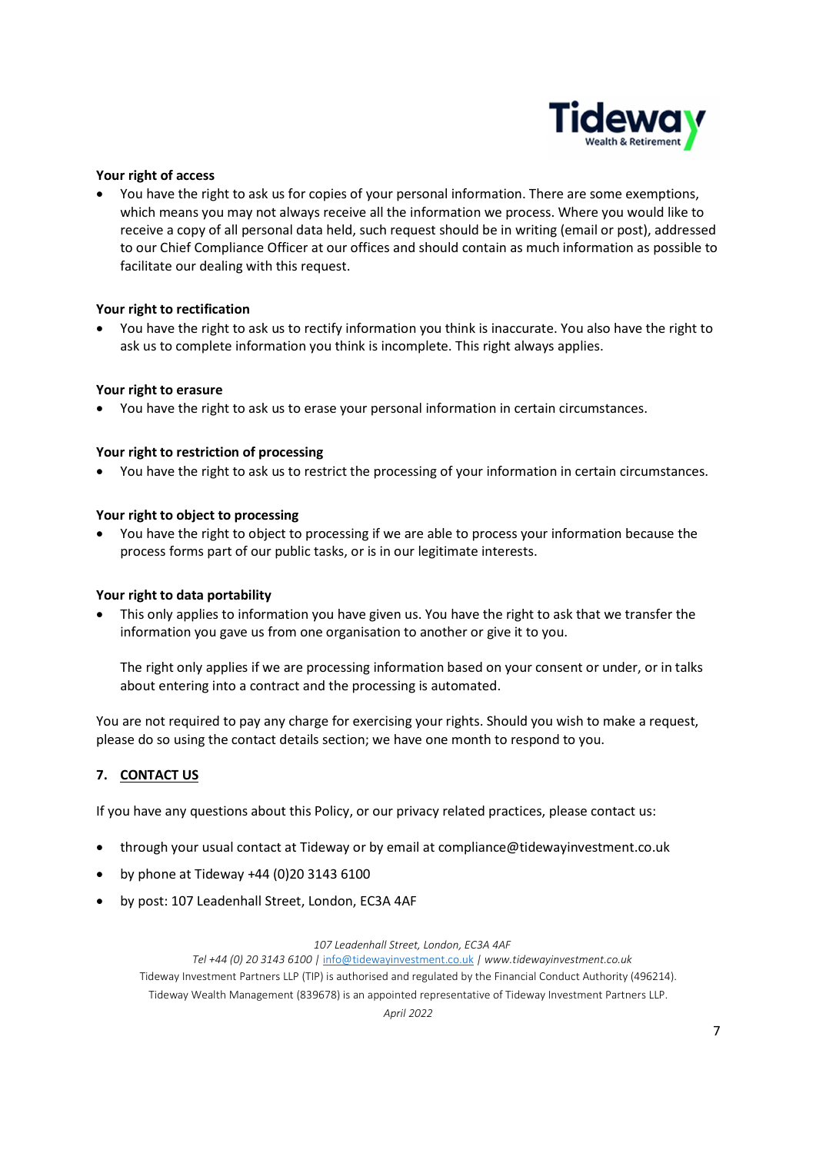

## Your right of access

 You have the right to ask us for copies of your personal information. There are some exemptions, which means you may not always receive all the information we process. Where you would like to receive a copy of all personal data held, such request should be in writing (email or post), addressed to our Chief Compliance Officer at our offices and should contain as much information as possible to facilitate our dealing with this request.

#### Your right to rectification

 You have the right to ask us to rectify information you think is inaccurate. You also have the right to ask us to complete information you think is incomplete. This right always applies.

## Your right to erasure

You have the right to ask us to erase your personal information in certain circumstances.

## Your right to restriction of processing

You have the right to ask us to restrict the processing of your information in certain circumstances.

#### Your right to object to processing

 You have the right to object to processing if we are able to process your information because the process forms part of our public tasks, or is in our legitimate interests.

#### Your right to data portability

 This only applies to information you have given us. You have the right to ask that we transfer the information you gave us from one organisation to another or give it to you.

The right only applies if we are processing information based on your consent or under, or in talks about entering into a contract and the processing is automated.

You are not required to pay any charge for exercising your rights. Should you wish to make a request, please do so using the contact details section; we have one month to respond to you.

## 7. CONTACT US

If you have any questions about this Policy, or our privacy related practices, please contact us:

- through your usual contact at Tideway or by email at compliance@tidewayinvestment.co.uk
- by phone at Tideway +44 (0)20 3143 6100
- by post: 107 Leadenhall Street, London, EC3A 4AF

#### 107 Leadenhall Street, London, EC3A 4AF

Tel +44 (0) 20 3143 6100 | info@tidewayinvestment.co.uk | www.tidewayinvestment.co.uk Tideway Investment Partners LLP (TIP) is authorised and regulated by the Financial Conduct Authority (496214). Tideway Wealth Management (839678) is an appointed representative of Tideway Investment Partners LLP.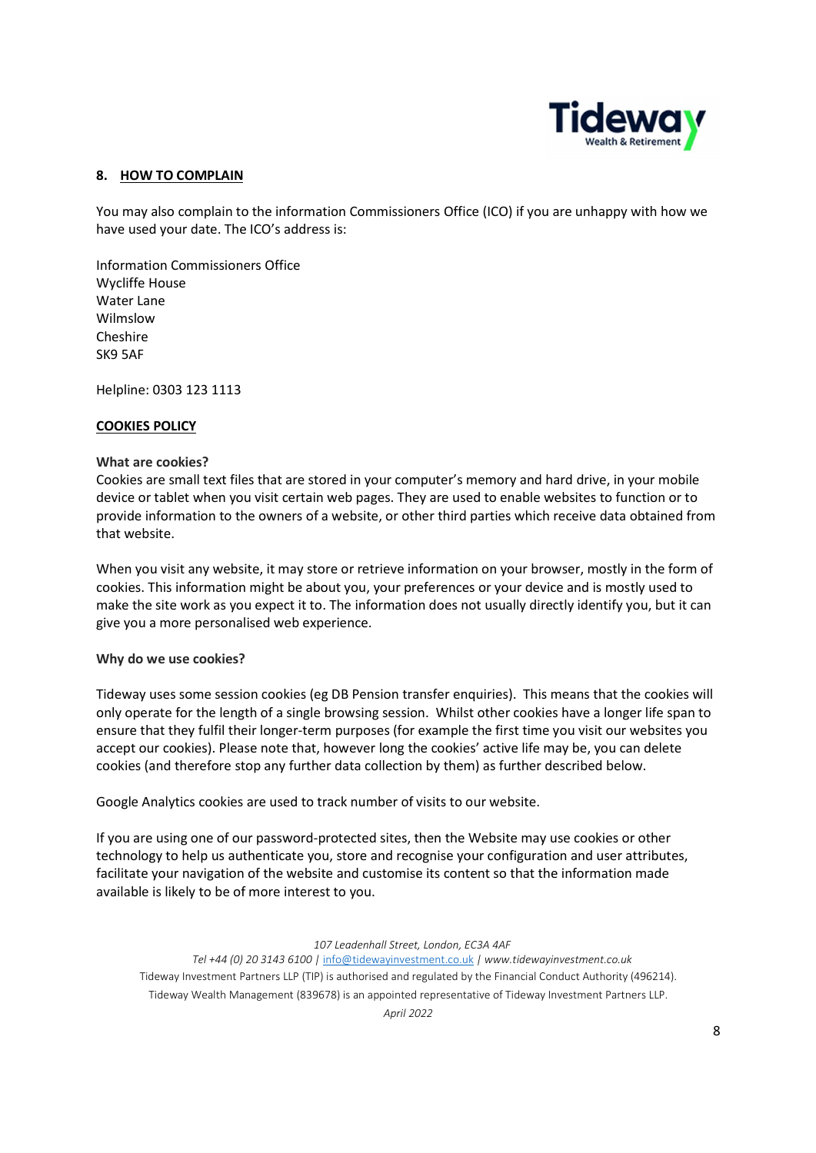

## 8. HOW TO COMPLAIN

You may also complain to the information Commissioners Office (ICO) if you are unhappy with how we have used your date. The ICO's address is:

Information Commissioners Office Wycliffe House Water Lane Wilmslow Cheshire SK9 5AF

Helpline: 0303 123 1113

## COOKIES POLICY

#### What are cookies?

Cookies are small text files that are stored in your computer's memory and hard drive, in your mobile device or tablet when you visit certain web pages. They are used to enable websites to function or to provide information to the owners of a website, or other third parties which receive data obtained from that website.

When you visit any website, it may store or retrieve information on your browser, mostly in the form of cookies. This information might be about you, your preferences or your device and is mostly used to make the site work as you expect it to. The information does not usually directly identify you, but it can give you a more personalised web experience.

#### Why do we use cookies?

Tideway uses some session cookies (eg DB Pension transfer enquiries). This means that the cookies will only operate for the length of a single browsing session. Whilst other cookies have a longer life span to ensure that they fulfil their longer-term purposes (for example the first time you visit our websites you accept our cookies). Please note that, however long the cookies' active life may be, you can delete cookies (and therefore stop any further data collection by them) as further described below.

Google Analytics cookies are used to track number of visits to our website.

If you are using one of our password-protected sites, then the Website may use cookies or other technology to help us authenticate you, store and recognise your configuration and user attributes, facilitate your navigation of the website and customise its content so that the information made available is likely to be of more interest to you.

#### 107 Leadenhall Street, London, EC3A 4AF

Tel +44 (0) 20 3143 6100 | info@tidewayinvestment.co.uk | www.tidewayinvestment.co.uk Tideway Investment Partners LLP (TIP) is authorised and regulated by the Financial Conduct Authority (496214). Tideway Wealth Management (839678) is an appointed representative of Tideway Investment Partners LLP.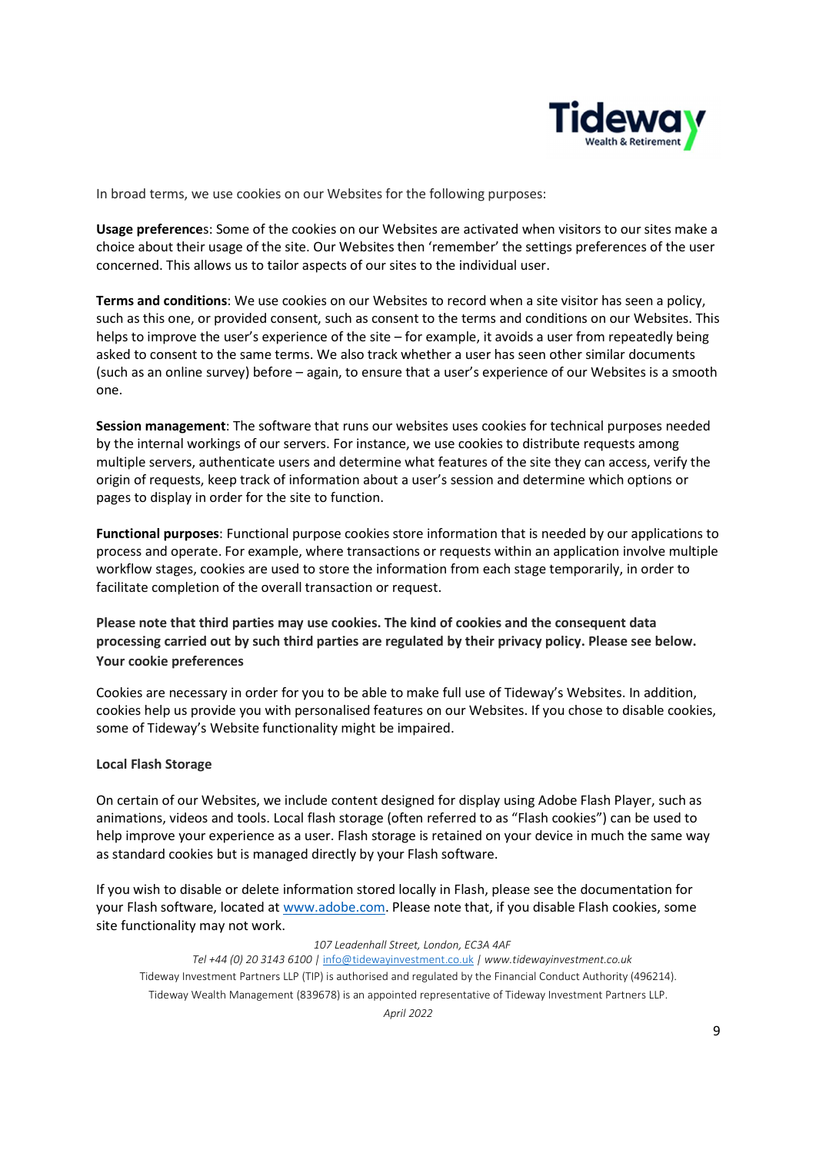

In broad terms, we use cookies on our Websites for the following purposes:

Usage preferences: Some of the cookies on our Websites are activated when visitors to our sites make a choice about their usage of the site. Our Websites then 'remember' the settings preferences of the user concerned. This allows us to tailor aspects of our sites to the individual user.

Terms and conditions: We use cookies on our Websites to record when a site visitor has seen a policy, such as this one, or provided consent, such as consent to the terms and conditions on our Websites. This helps to improve the user's experience of the site – for example, it avoids a user from repeatedly being asked to consent to the same terms. We also track whether a user has seen other similar documents (such as an online survey) before – again, to ensure that a user's experience of our Websites is a smooth one.

Session management: The software that runs our websites uses cookies for technical purposes needed by the internal workings of our servers. For instance, we use cookies to distribute requests among multiple servers, authenticate users and determine what features of the site they can access, verify the origin of requests, keep track of information about a user's session and determine which options or pages to display in order for the site to function.

Functional purposes: Functional purpose cookies store information that is needed by our applications to process and operate. For example, where transactions or requests within an application involve multiple workflow stages, cookies are used to store the information from each stage temporarily, in order to facilitate completion of the overall transaction or request.

Please note that third parties may use cookies. The kind of cookies and the consequent data processing carried out by such third parties are regulated by their privacy policy. Please see below. Your cookie preferences

Cookies are necessary in order for you to be able to make full use of Tideway's Websites. In addition, cookies help us provide you with personalised features on our Websites. If you chose to disable cookies, some of Tideway's Website functionality might be impaired.

#### Local Flash Storage

On certain of our Websites, we include content designed for display using Adobe Flash Player, such as animations, videos and tools. Local flash storage (often referred to as "Flash cookies") can be used to help improve your experience as a user. Flash storage is retained on your device in much the same way as standard cookies but is managed directly by your Flash software.

If you wish to disable or delete information stored locally in Flash, please see the documentation for your Flash software, located at www.adobe.com. Please note that, if you disable Flash cookies, some site functionality may not work.

#### 107 Leadenhall Street, London, EC3A 4AF

Tel +44 (0) 20 3143 6100 | info@tidewayinvestment.co.uk | www.tidewayinvestment.co.uk Tideway Investment Partners LLP (TIP) is authorised and regulated by the Financial Conduct Authority (496214). Tideway Wealth Management (839678) is an appointed representative of Tideway Investment Partners LLP.